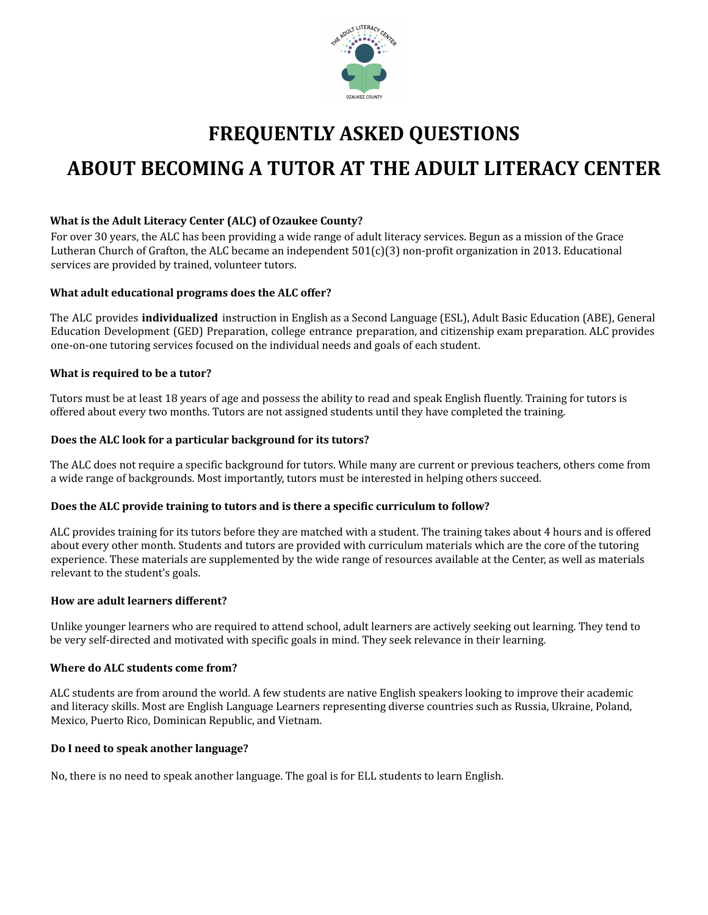

# **FREQUENTLY ASKED QUESTIONS ABOUT BECOMING A TUTOR AT THE ADULT LITERACY CENTER**

# **What is the Adult Literacy Center (ALC) of Ozaukee County?**

For over 30 years, the ALC has been providing a wide range of adult literacy services. Begun as a mission of the Grace Lutheran Church of Grafton, the ALC became an independent  $501(c)(3)$  non-profit organization in 2013. Educational services are provided by trained, volunteer tutors.

## **What adult educational programs does the ALC offer?**

The ALC provides **individualized** instruction in English as a Second Language (ESL), Adult Basic Education (ABE), General Education Development (GED) Preparation, college entrance preparation, and citizenship exam preparation. ALC provides one-on-one tutoring services focused on the individual needs and goals of each student.

#### **What is required to be a tutor?**

Tutors must be at least 18 years of age and possess the ability to read and speak English fluently. Training for tutors is offered about every two months. Tutors are not assigned students until they have completed the training.

#### **Does the ALC look for a particular background for its tutors?**

The ALC does not require a specific background for tutors. While many are current or previous teachers, others come from a wide range of backgrounds. Most importantly, tutors must be interested in helping others succeed.

## **Does the ALC provide training to tutors and is there a specific curriculum to follow?**

ALC provides training for its tutors before they are matched with a student. The training takes about 4 hours and is offered about every other month. Students and tutors are provided with curriculum materials which are the core of the tutoring experience. These materials are supplemented by the wide range of resources available at the Center, as well as materials relevant to the student's goals.

## **How are adult learners different?**

Unlike younger learners who are required to attend school, adult learners are actively seeking out learning. They tend to be very self-directed and motivated with specific goals in mind. They seek relevance in their learning.

## **Where do ALC students come from?**

ALC students are from around the world. A few students are native English speakers looking to improve their academic and literacy skills. Most are English Language Learners representing diverse countries such as Russia, Ukraine, Poland, Mexico, Puerto Rico, Dominican Republic, and Vietnam.

## **Do I need to speak another language?**

No, there is no need to speak another language. The goal is for ELL students to learn English.